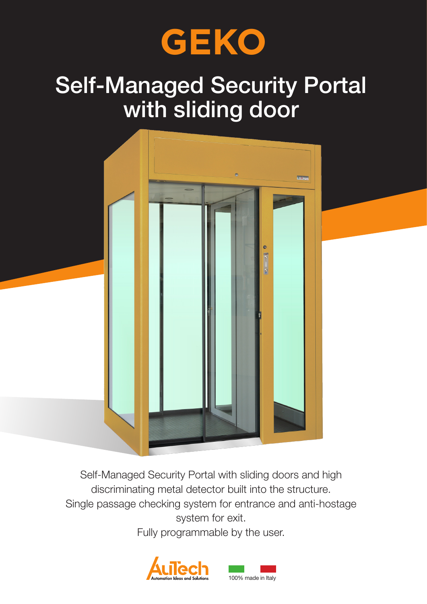

# Self-Managed Security Portal with sliding door



Self-Managed Security Portal with sliding doors and high discriminating metal detector built into the structure. Single passage checking system for entrance and anti-hostage system for exit.

Fully programmable by the user.

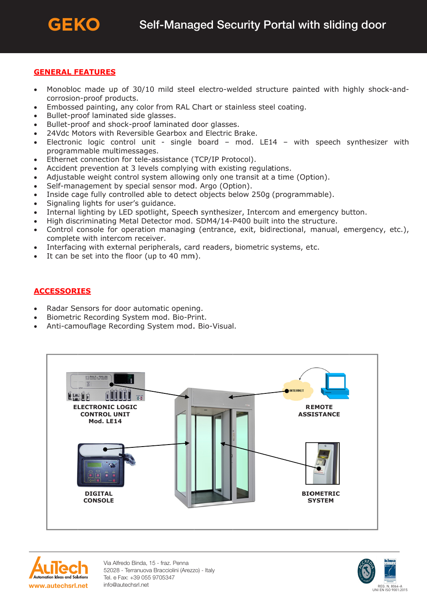## **GENERAL FEATURES**

- Monobloc made up of 30/10 mild steel electro-welded structure painted with highly shock-and- $\bullet$ corrosion-proof products.
- Embossed painting, any color from RAL Chart or stainless steel coating.  $\bullet$
- Bullet-proof laminated side glasses.  $\bullet$
- Bullet-proof and shock-proof laminated door glasses.  $\bullet$
- 24Vdc Motors with Reversible Gearbox and Electric Brake.  $\bullet$
- Electronic logic control unit single board mod. LE14 with speech synthesizer with  $\bullet$ programmable multimessages.
- Ethernet connection for tele-assistance (TCP/IP Protocol).  $\bullet$
- Accident prevention at 3 levels complying with existing regulations.
- Adjustable weight control system allowing only one transit at a time (Option).  $\bullet$
- Self-management by special sensor mod. Argo (Option).  $\bullet$
- Inside cage fully controlled able to detect objects below 250g (programmable).  $\bullet$
- Signaling lights for user's guidance.  $\bullet$
- Internal lighting by LED spotlight, Speech synthesizer, Intercom and emergency button.  $\bullet$
- High discriminating Metal Detector mod. SDM4/14-P400 built into the structure.
- Control console for operation managing (entrance, exit, bidirectional, manual, emergency, etc.),  $\bullet$ complete with intercom receiver.
- Interfacing with external peripherals, card readers, biometric systems, etc.
- It can be set into the floor (up to 40 mm).

# **ACCESSORIES**

- Radar Sensors for door automatic opening.
- Biometric Recording System mod. Bio-Print.
- Anti-camouflage Recording System mod. Bio-Visual.





Via Alfredo Binda, 15 - fraz. Penna 52028 - Terranuova Bracciolini (Arezzo) - Italy Tel. e Fax: +39 055 9705347 info@autechsrl.net